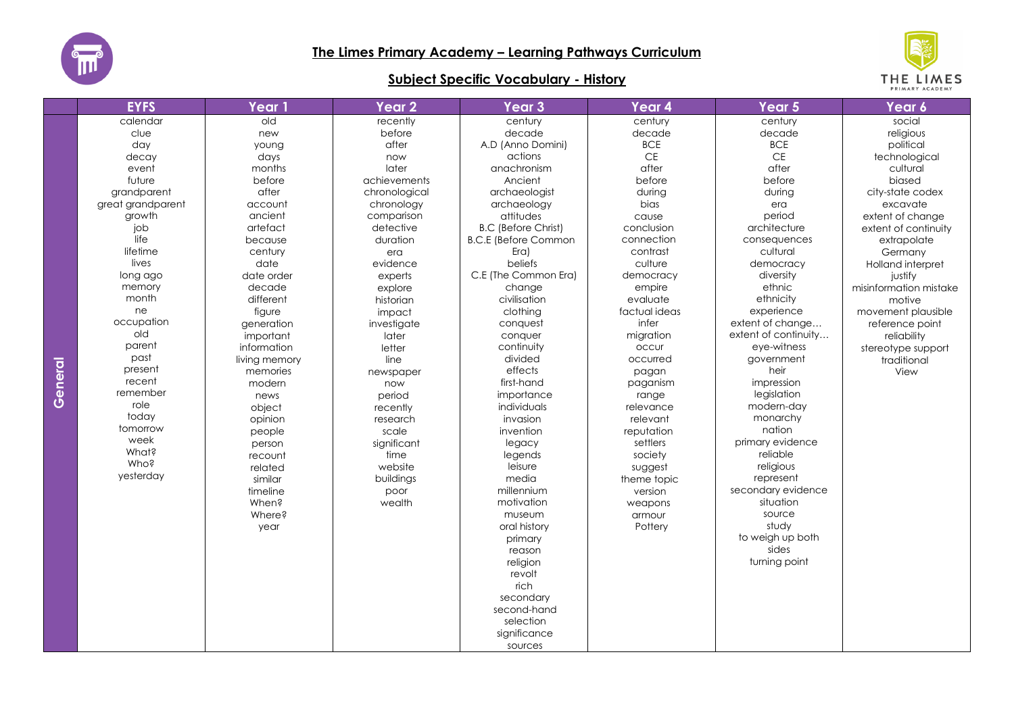

## **Subject Specific Vocabulary - History**



|        | <b>EYFS</b>       | <b>Year 1</b> | <b>Year 2</b> | Year <sub>3</sub>           | Year 4        | Year 5               | Year 6                 |
|--------|-------------------|---------------|---------------|-----------------------------|---------------|----------------------|------------------------|
|        | calendar          | old           | recently      | century                     | century       | century              | social                 |
|        | clue              | new           | before        | decade                      | decade        | decade               | religious              |
|        | day               | young         | after         | A.D (Anno Domini)           | <b>BCE</b>    | <b>BCE</b>           | political              |
|        | decay             | days          | now           | actions                     | $\mathsf{CE}$ | $\mathsf{CE}$        | technological          |
|        | event             | months        | later         | anachronism                 | after         | after                | cultural               |
|        | future            | before        | achievements  | Ancient                     | before        | before               | biased                 |
|        | grandparent       | after         | chronological | archaeologist               | during        | during               | city-state codex       |
|        | great grandparent | account       | chronology    | archaeology                 | bias          | era                  | excavate               |
|        | growth            | ancient       | comparison    | attitudes                   | cause         | period               | extent of change       |
|        | job               | artefact      | detective     | <b>B.C (Before Christ)</b>  | conclusion    | architecture         | extent of continuity   |
|        | life              | because       | duration      | <b>B.C.E (Before Common</b> | connection    | consequences         | extrapolate            |
|        | lifetime          | century       | era           | $Era$ )                     | contrast      | cultural             | Germany                |
|        | lives             | date          | evidence      | beliefs                     | culture       | democracy            | Holland interpret      |
|        | long ago          | date order    | experts       | C.E (The Common Era)        | democracy     | diversity            | justify                |
|        | memory            | decade        | explore       | change                      | empire        | ethnic               | misinformation mistake |
|        | month             | different     | historian     | civilisation                | evaluate      | ethnicity            | motive                 |
|        | ne                | figure        | impact        | clothing                    | factual ideas | experience           | movement plausible     |
|        | occupation        | generation    | investigate   | conquest                    | infer         | extent of change     | reference point        |
|        | old               | important     | later         | conquer                     | migration     | extent of continuity | reliability            |
|        | parent            | information   | letter        | continuity                  | occur         | eye-witness          | stereotype support     |
|        | past              | living memory | line          | divided                     | occurred      | government           | traditional            |
| eneral | present           | memories      | newspaper     | effects                     | pagan         | heir                 | View                   |
|        | recent            | modern        | now           | first-hand                  | paganism      | impression           |                        |
| Ō      | remember<br>role  | news          | period        | importance                  | range         | legislation          |                        |
|        | today             | object        | recently      | individuals                 | relevance     | modern-day           |                        |
|        |                   | opinion       | research      | invasion                    | relevant      | monarchy             |                        |
|        | tomorrow<br>week  | people        | scale         | invention                   | reputation    | nation               |                        |
|        | What?             | person        | significant   | legacy                      | settlers      | primary evidence     |                        |
|        | Who?              | recount       | time          | legends                     | society       | reliable             |                        |
|        | yesterday         | related       | website       | leisure                     | suggest       | religious            |                        |
|        |                   | similar       | buildings     | media                       | theme topic   | represent            |                        |
|        |                   | timeline      | poor          | millennium                  | version       | secondary evidence   |                        |
|        |                   | When?         | wealth        | motivation                  | weapons       | situation            |                        |
|        |                   | Where?        |               | museum                      | armour        | source               |                        |
|        |                   | year          |               | oral history                | Pottery       | study                |                        |
|        |                   |               |               | primary                     |               | to weigh up both     |                        |
|        |                   |               |               | reason                      |               | sides                |                        |
|        |                   |               |               | religion                    |               | turning point        |                        |
|        |                   |               |               | revolt                      |               |                      |                        |
|        |                   |               |               | rich                        |               |                      |                        |
|        |                   |               |               | secondary                   |               |                      |                        |
|        |                   |               |               | second-hand                 |               |                      |                        |
|        |                   |               |               | selection                   |               |                      |                        |
|        |                   |               |               | significance                |               |                      |                        |
|        |                   |               |               | sources                     |               |                      |                        |